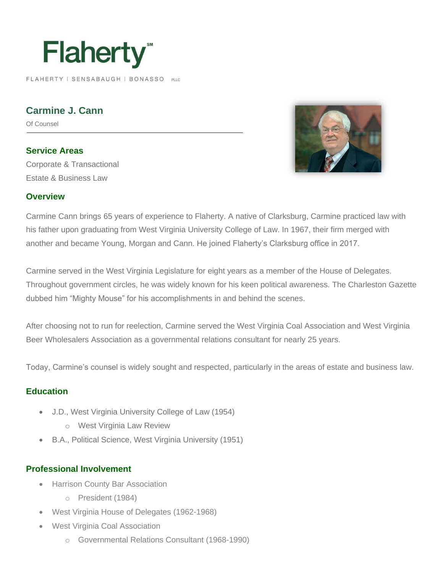# **Flaherty**

FLAHERTY | SENSABAUGH | BONASSO PLLC

**Carmine J. Cann** 

Of Counsel

**Service Areas** Corporate & Transactional Estate & Business Law



#### **Overview**

Carmine Cann brings 65 years of experience to Flaherty. A native of Clarksburg, Carmine practiced law with his father upon graduating from West Virginia University College of Law. In 1967, their firm merged with another and became Young, Morgan and Cann. He joined Flaherty's Clarksburg office in 2017.

Carmine served in the West Virginia Legislature for eight years as a member of the House of Delegates. Throughout government circles, he was widely known for his keen political awareness. The Charleston Gazette dubbed him "Mighty Mouse" for his accomplishments in and behind the scenes.

After choosing not to run for reelection, Carmine served the West Virginia Coal Association and West Virginia Beer Wholesalers Association as a governmental relations consultant for nearly 25 years.

Today, Carmine's counsel is widely sought and respected, particularly in the areas of estate and business law.

#### **Education**

- J.D., West Virginia University College of Law (1954)
	- o West Virginia Law Review
- B.A., Political Science, West Virginia University (1951)

#### **Professional Involvement**

- Harrison County Bar Association
	- o President (1984)
- West Virginia House of Delegates (1962-1968)
- West Virginia Coal Association
	- o Governmental Relations Consultant (1968-1990)